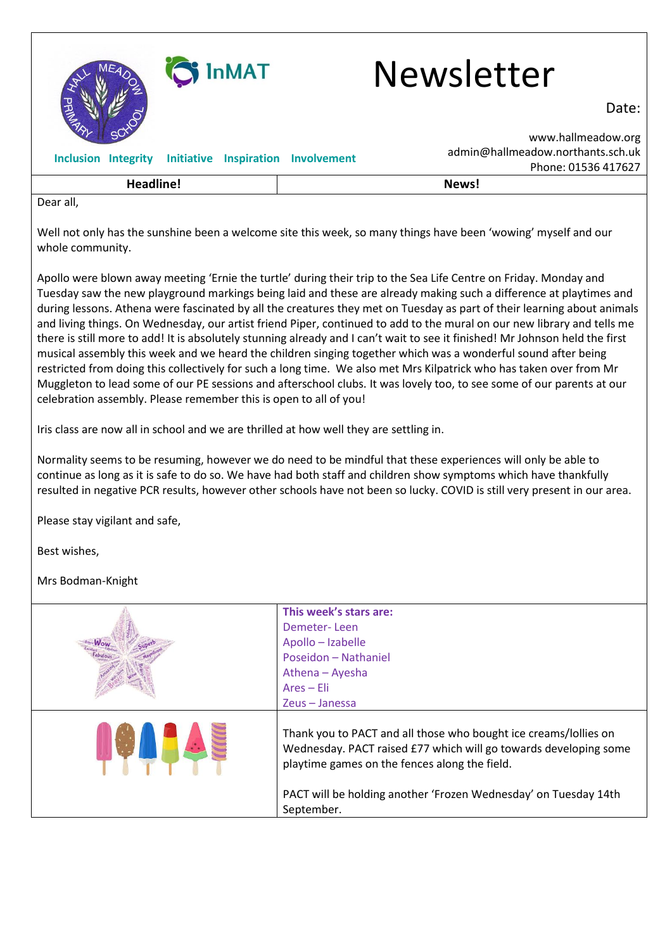

|                                          | $11011C. 01330 + 17027$ |
|------------------------------------------|-------------------------|
| والمستللة والمستروح والمتار<br>וממווחבמו | News!                   |
| الم roar ا                               |                         |

Dear all,

Well not only has the sunshine been a welcome site this week, so many things have been 'wowing' myself and our whole community.

Apollo were blown away meeting 'Ernie the turtle' during their trip to the Sea Life Centre on Friday. Monday and Tuesday saw the new playground markings being laid and these are already making such a difference at playtimes and during lessons. Athena were fascinated by all the creatures they met on Tuesday as part of their learning about animals and living things. On Wednesday, our artist friend Piper, continued to add to the mural on our new library and tells me there is still more to add! It is absolutely stunning already and I can't wait to see it finished! Mr Johnson held the first musical assembly this week and we heard the children singing together which was a wonderful sound after being restricted from doing this collectively for such a long time. We also met Mrs Kilpatrick who has taken over from Mr Muggleton to lead some of our PE sessions and afterschool clubs. It was lovely too, to see some of our parents at our celebration assembly. Please remember this is open to all of you!

Iris class are now all in school and we are thrilled at how well they are settling in.

Normality seems to be resuming, however we do need to be mindful that these experiences will only be able to continue as long as it is safe to do so. We have had both staff and children show symptoms which have thankfully resulted in negative PCR results, however other schools have not been so lucky. COVID is still very present in our area.

Please stay vigilant and safe,

Best wishes,

Mrs Bodman-Knight

| This week's stars are:                                                                                                                                                                |
|---------------------------------------------------------------------------------------------------------------------------------------------------------------------------------------|
| Demeter-Leen                                                                                                                                                                          |
| Apollo - Izabelle                                                                                                                                                                     |
| Poseidon - Nathaniel                                                                                                                                                                  |
| Athena - Ayesha                                                                                                                                                                       |
| $Area$ – Eli                                                                                                                                                                          |
| Zeus – Janessa                                                                                                                                                                        |
| Thank you to PACT and all those who bought ice creams/lollies on<br>Wednesday. PACT raised £77 which will go towards developing some<br>playtime games on the fences along the field. |
| PACT will be holding another 'Frozen Wednesday' on Tuesday 14th<br>September.                                                                                                         |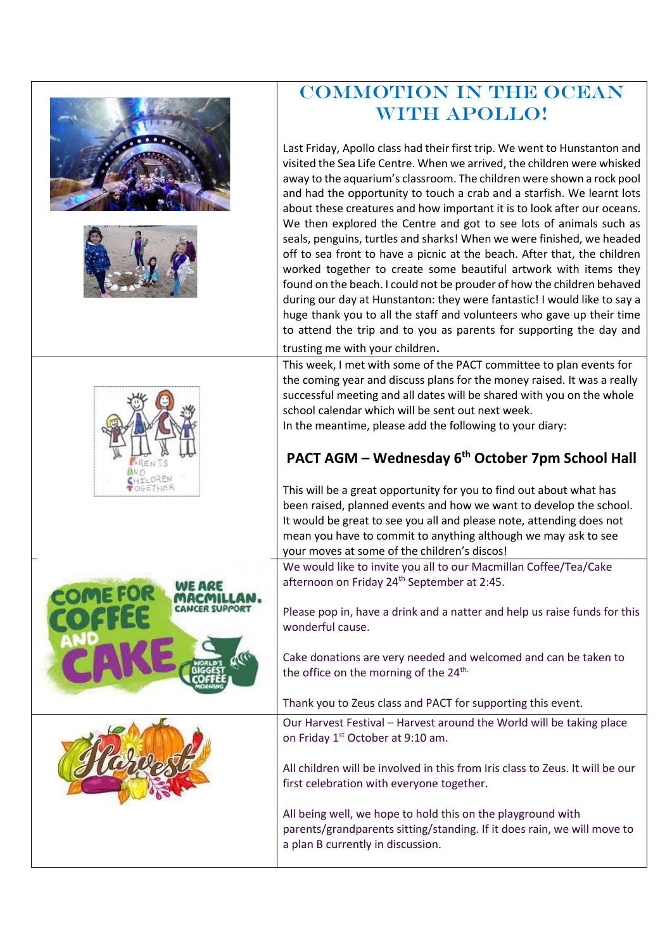|  | <b>COMMOTION IN THE OCEAN</b>                                                                                                                                                                                                                                                                                                                                                                                                                                                                                                                                                                                                                                                                                                                                                                                                                                                                                                                                                                                              |
|--|----------------------------------------------------------------------------------------------------------------------------------------------------------------------------------------------------------------------------------------------------------------------------------------------------------------------------------------------------------------------------------------------------------------------------------------------------------------------------------------------------------------------------------------------------------------------------------------------------------------------------------------------------------------------------------------------------------------------------------------------------------------------------------------------------------------------------------------------------------------------------------------------------------------------------------------------------------------------------------------------------------------------------|
|  | WITH APOLLO!                                                                                                                                                                                                                                                                                                                                                                                                                                                                                                                                                                                                                                                                                                                                                                                                                                                                                                                                                                                                               |
|  | Last Friday, Apollo class had their first trip. We went to Hunstanton and<br>visited the Sea Life Centre. When we arrived, the children were whisked<br>away to the aquarium's classroom. The children were shown a rock pool<br>and had the opportunity to touch a crab and a starfish. We learnt lots<br>about these creatures and how important it is to look after our oceans.<br>We then explored the Centre and got to see lots of animals such as<br>seals, penguins, turtles and sharks! When we were finished, we headed<br>off to sea front to have a picnic at the beach. After that, the children<br>worked together to create some beautiful artwork with items they<br>found on the beach. I could not be prouder of how the children behaved<br>during our day at Hunstanton: they were fantastic! I would like to say a<br>huge thank you to all the staff and volunteers who gave up their time<br>to attend the trip and to you as parents for supporting the day and<br>trusting me with your children. |
|  | This week, I met with some of the PACT committee to plan events for                                                                                                                                                                                                                                                                                                                                                                                                                                                                                                                                                                                                                                                                                                                                                                                                                                                                                                                                                        |
|  | the coming year and discuss plans for the money raised. It was a really<br>successful meeting and all dates will be shared with you on the whole<br>school calendar which will be sent out next week.<br>In the meantime, please add the following to your diary:                                                                                                                                                                                                                                                                                                                                                                                                                                                                                                                                                                                                                                                                                                                                                          |
|  | PACT AGM - Wednesday 6 <sup>th</sup> October 7pm School Hall                                                                                                                                                                                                                                                                                                                                                                                                                                                                                                                                                                                                                                                                                                                                                                                                                                                                                                                                                               |
|  | This will be a great opportunity for you to find out about what has<br>been raised, planned events and how we want to develop the school.<br>It would be great to see you all and please note, attending does not<br>mean you have to commit to anything although we may ask to see<br>your moves at some of the children's discos!                                                                                                                                                                                                                                                                                                                                                                                                                                                                                                                                                                                                                                                                                        |
|  | We would like to invite you all to our Macmillan Coffee/Tea/Cake                                                                                                                                                                                                                                                                                                                                                                                                                                                                                                                                                                                                                                                                                                                                                                                                                                                                                                                                                           |
|  | afternoon on Friday 24 <sup>th</sup> September at 2:45.<br>Please pop in, have a drink and a natter and help us raise funds for this<br>wonderful cause.                                                                                                                                                                                                                                                                                                                                                                                                                                                                                                                                                                                                                                                                                                                                                                                                                                                                   |
|  | Cake donations are very needed and welcomed and can be taken to<br>the office on the morning of the 24 <sup>th.</sup>                                                                                                                                                                                                                                                                                                                                                                                                                                                                                                                                                                                                                                                                                                                                                                                                                                                                                                      |
|  | Thank you to Zeus class and PACT for supporting this event.                                                                                                                                                                                                                                                                                                                                                                                                                                                                                                                                                                                                                                                                                                                                                                                                                                                                                                                                                                |
|  | Our Harvest Festival - Harvest around the World will be taking place<br>on Friday 1 <sup>st</sup> October at 9:10 am.                                                                                                                                                                                                                                                                                                                                                                                                                                                                                                                                                                                                                                                                                                                                                                                                                                                                                                      |
|  | All children will be involved in this from Iris class to Zeus. It will be our<br>first celebration with everyone together.                                                                                                                                                                                                                                                                                                                                                                                                                                                                                                                                                                                                                                                                                                                                                                                                                                                                                                 |
|  | All being well, we hope to hold this on the playground with<br>parents/grandparents sitting/standing. If it does rain, we will move to<br>a plan B currently in discussion.                                                                                                                                                                                                                                                                                                                                                                                                                                                                                                                                                                                                                                                                                                                                                                                                                                                |